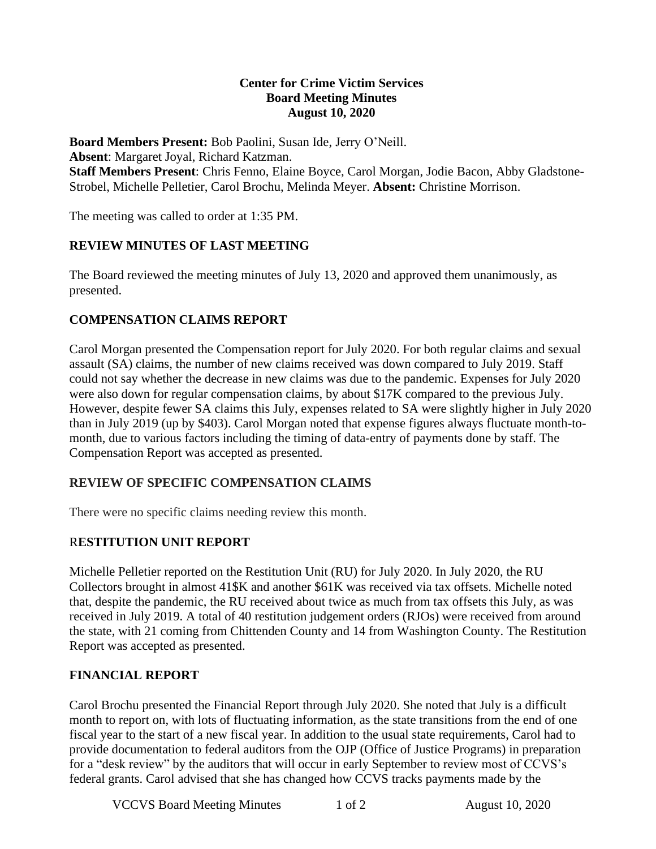### **Center for Crime Victim Services Board Meeting Minutes August 10, 2020**

**Board Members Present:** Bob Paolini, Susan Ide, Jerry O'Neill. **Absent**: Margaret Joyal, Richard Katzman. **Staff Members Present**: Chris Fenno, Elaine Boyce, Carol Morgan, Jodie Bacon, Abby Gladstone-Strobel, Michelle Pelletier, Carol Brochu, Melinda Meyer. **Absent:** Christine Morrison.

The meeting was called to order at 1:35 PM.

## **REVIEW MINUTES OF LAST MEETING**

The Board reviewed the meeting minutes of July 13, 2020 and approved them unanimously, as presented.

## **COMPENSATION CLAIMS REPORT**

Carol Morgan presented the Compensation report for July 2020. For both regular claims and sexual assault (SA) claims, the number of new claims received was down compared to July 2019. Staff could not say whether the decrease in new claims was due to the pandemic. Expenses for July 2020 were also down for regular compensation claims, by about \$17K compared to the previous July. However, despite fewer SA claims this July, expenses related to SA were slightly higher in July 2020 than in July 2019 (up by \$403). Carol Morgan noted that expense figures always fluctuate month-tomonth, due to various factors including the timing of data-entry of payments done by staff. The Compensation Report was accepted as presented.

## **REVIEW OF SPECIFIC COMPENSATION CLAIMS**

There were no specific claims needing review this month.

## R**ESTITUTION UNIT REPORT**

Michelle Pelletier reported on the Restitution Unit (RU) for July 2020. In July 2020, the RU Collectors brought in almost 41\$K and another \$61K was received via tax offsets. Michelle noted that, despite the pandemic, the RU received about twice as much from tax offsets this July, as was received in July 2019. A total of 40 restitution judgement orders (RJOs) were received from around the state, with 21 coming from Chittenden County and 14 from Washington County. The Restitution Report was accepted as presented.

## **FINANCIAL REPORT**

Carol Brochu presented the Financial Report through July 2020. She noted that July is a difficult month to report on, with lots of fluctuating information, as the state transitions from the end of one fiscal year to the start of a new fiscal year. In addition to the usual state requirements, Carol had to provide documentation to federal auditors from the OJP (Office of Justice Programs) in preparation for a "desk review" by the auditors that will occur in early September to review most of CCVS's federal grants. Carol advised that she has changed how CCVS tracks payments made by the

VCCVS Board Meeting Minutes 1 of 2 August 10, 2020